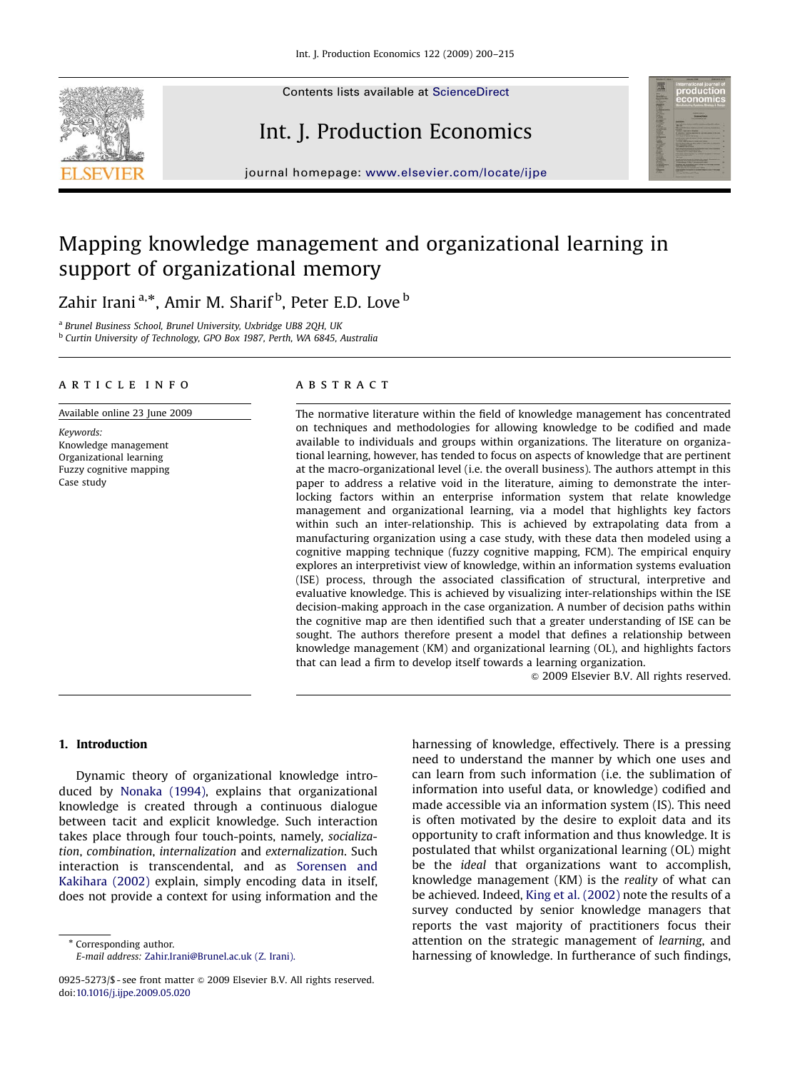

# Int. J. Production Economics



journal homepage: <www.elsevier.com/locate/ijpe>

# Mapping knowledge management and organizational learning in support of organizational memory

Zahir Irani<sup>a,</sup>\*, Amir M. Sharif<sup>b</sup>, Peter E.D. Love <sup>b</sup>

<sup>a</sup> Brunel Business School, Brunel University, Uxbridge UB8 2QH, UK <sup>b</sup> Curtin University of Technology, GPO Box 1987, Perth, WA 6845, Australia

#### article info

Available online 23 June 2009

Keywords: Knowledge management Organizational learning Fuzzy cognitive mapping Case study

### **ABSTRACT**

The normative literature within the field of knowledge management has concentrated on techniques and methodologies for allowing knowledge to be codified and made available to individuals and groups within organizations. The literature on organizational learning, however, has tended to focus on aspects of knowledge that are pertinent at the macro-organizational level (i.e. the overall business). The authors attempt in this paper to address a relative void in the literature, aiming to demonstrate the interlocking factors within an enterprise information system that relate knowledge management and organizational learning, via a model that highlights key factors within such an inter-relationship. This is achieved by extrapolating data from a manufacturing organization using a case study, with these data then modeled using a cognitive mapping technique (fuzzy cognitive mapping, FCM). The empirical enquiry explores an interpretivist view of knowledge, within an information systems evaluation (ISE) process, through the associated classification of structural, interpretive and evaluative knowledge. This is achieved by visualizing inter-relationships within the ISE decision-making approach in the case organization. A number of decision paths within the cognitive map are then identified such that a greater understanding of ISE can be sought. The authors therefore present a model that defines a relationship between knowledge management (KM) and organizational learning (OL), and highlights factors that can lead a firm to develop itself towards a learning organization.

 $\odot$  2009 Elsevier B.V. All rights reserved.

### 1. Introduction

Dynamic theory of organizational knowledge introduced by [Nonaka \(1994\),](#page--1-0) explains that organizational knowledge is created through a continuous dialogue between tacit and explicit knowledge. Such interaction takes place through four touch-points, namely, socialization, combination, internalization and externalization. Such interaction is transcendental, and as [Sorensen and](#page--1-0) [Kakihara \(2002\)](#page--1-0) explain, simply encoding data in itself, does not provide a context for using information and the

\* Corresponding author.

E-mail address: [Zahir.Irani@Brunel.ac.uk \(Z. Irani\).](mailto:Zahir.Irani@Brunel.ac.uk)

harnessing of knowledge, effectively. There is a pressing need to understand the manner by which one uses and can learn from such information (i.e. the sublimation of information into useful data, or knowledge) codified and made accessible via an information system (IS). This need is often motivated by the desire to exploit data and its opportunity to craft information and thus knowledge. It is postulated that whilst organizational learning (OL) might be the ideal that organizations want to accomplish, knowledge management (KM) is the reality of what can be achieved. Indeed, [King et al. \(2002\)](#page--1-0) note the results of a survey conducted by senior knowledge managers that reports the vast majority of practitioners focus their attention on the strategic management of learning, and harnessing of knowledge. In furtherance of such findings,

<sup>0925-5273/\$ -</sup> see front matter  $\circ$  2009 Elsevier B.V. All rights reserved. doi:[10.1016/j.ijpe.2009.05.020](dx.doi.org/10.1016/j.ijpe.2009.05.020)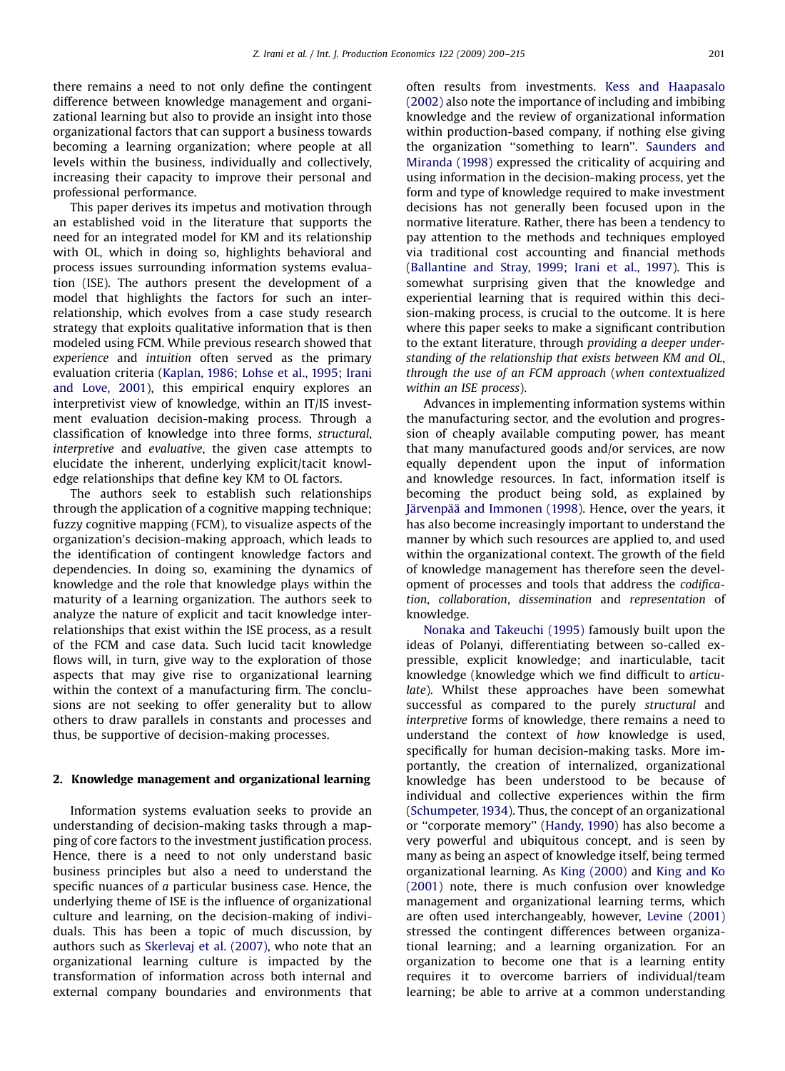there remains a need to not only define the contingent difference between knowledge management and organizational learning but also to provide an insight into those organizational factors that can support a business towards becoming a learning organization; where people at all levels within the business, individually and collectively, increasing their capacity to improve their personal and professional performance.

This paper derives its impetus and motivation through an established void in the literature that supports the need for an integrated model for KM and its relationship with OL, which in doing so, highlights behavioral and process issues surrounding information systems evaluation (ISE). The authors present the development of a model that highlights the factors for such an interrelationship, which evolves from a case study research strategy that exploits qualitative information that is then modeled using FCM. While previous research showed that experience and intuition often served as the primary evaluation criteria ([Kaplan, 1986](#page--1-0); [Lohse et al., 1995;](#page--1-0) [Irani](#page--1-0) [and Love, 2001\)](#page--1-0), this empirical enquiry explores an interpretivist view of knowledge, within an IT/IS investment evaluation decision-making process. Through a classification of knowledge into three forms, structural, interpretive and evaluative, the given case attempts to elucidate the inherent, underlying explicit/tacit knowledge relationships that define key KM to OL factors.

The authors seek to establish such relationships through the application of a cognitive mapping technique; fuzzy cognitive mapping (FCM), to visualize aspects of the organization's decision-making approach, which leads to the identification of contingent knowledge factors and dependencies. In doing so, examining the dynamics of knowledge and the role that knowledge plays within the maturity of a learning organization. The authors seek to analyze the nature of explicit and tacit knowledge interrelationships that exist within the ISE process, as a result of the FCM and case data. Such lucid tacit knowledge flows will, in turn, give way to the exploration of those aspects that may give rise to organizational learning within the context of a manufacturing firm. The conclusions are not seeking to offer generality but to allow others to draw parallels in constants and processes and thus, be supportive of decision-making processes.

#### 2. Knowledge management and organizational learning

Information systems evaluation seeks to provide an understanding of decision-making tasks through a mapping of core factors to the investment justification process. Hence, there is a need to not only understand basic business principles but also a need to understand the specific nuances of a particular business case. Hence, the underlying theme of ISE is the influence of organizational culture and learning, on the decision-making of individuals. This has been a topic of much discussion, by authors such as [Skerlevaj et al. \(2007\),](#page--1-0) who note that an organizational learning culture is impacted by the transformation of information across both internal and external company boundaries and environments that often results from investments. [Kess and Haapasalo](#page--1-0) [\(2002\)](#page--1-0) also note the importance of including and imbibing knowledge and the review of organizational information within production-based company, if nothing else giving the organization ''something to learn''. [Saunders and](#page--1-0) [Miranda \(1998\)](#page--1-0) expressed the criticality of acquiring and using information in the decision-making process, yet the form and type of knowledge required to make investment decisions has not generally been focused upon in the normative literature. Rather, there has been a tendency to pay attention to the methods and techniques employed via traditional cost accounting and financial methods [\(Ballantine and Stray, 1999](#page--1-0); [Irani et al., 1997\)](#page--1-0). This is somewhat surprising given that the knowledge and experiential learning that is required within this decision-making process, is crucial to the outcome. It is here where this paper seeks to make a significant contribution to the extant literature, through providing a deeper understanding of the relationship that exists between KM and OL, through the use of an FCM approach (when contextualized within an ISE process).

Advances in implementing information systems within the manufacturing sector, and the evolution and progression of cheaply available computing power, has meant that many manufactured goods and/or services, are now equally dependent upon the input of information and knowledge resources. In fact, information itself is becoming the product being sold, as explained by Järvenpää [and Immonen \(1998\)](#page--1-0). Hence, over the years, it has also become increasingly important to understand the manner by which such resources are applied to, and used within the organizational context. The growth of the field of knowledge management has therefore seen the development of processes and tools that address the codification, collaboration, dissemination and representation of knowledge.

[Nonaka and Takeuchi \(1995\)](#page--1-0) famously built upon the ideas of Polanyi, differentiating between so-called expressible, explicit knowledge; and inarticulable, tacit knowledge (knowledge which we find difficult to articulate). Whilst these approaches have been somewhat successful as compared to the purely structural and interpretive forms of knowledge, there remains a need to understand the context of how knowledge is used, specifically for human decision-making tasks. More importantly, the creation of internalized, organizational knowledge has been understood to be because of individual and collective experiences within the firm [\(Schumpeter, 1934\)](#page--1-0). Thus, the concept of an organizational or ''corporate memory'' [\(Handy, 1990\)](#page--1-0) has also become a very powerful and ubiquitous concept, and is seen by many as being an aspect of knowledge itself, being termed organizational learning. As [King \(2000\)](#page--1-0) and [King and Ko](#page--1-0) [\(2001\)](#page--1-0) note, there is much confusion over knowledge management and organizational learning terms, which are often used interchangeably, however, [Levine \(2001\)](#page--1-0) stressed the contingent differences between organizational learning; and a learning organization. For an organization to become one that is a learning entity requires it to overcome barriers of individual/team learning; be able to arrive at a common understanding